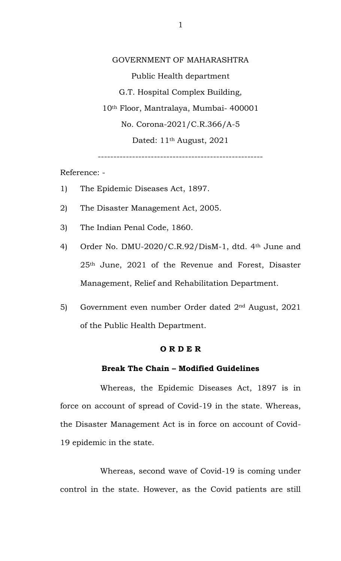GOVERNMENT OF MAHARASHTRA Public Health department G.T. Hospital Complex Building, 10th Floor, Mantralaya, Mumbai- 400001 No. Corona-2021/C.R.366/A-5 Dated: 11<sup>th</sup> August, 2021

-----------------------------------------------------

Reference: -

- 1) The Epidemic Diseases Act, 1897.
- 2) The Disaster Management Act, 2005.
- 3) The Indian Penal Code, 1860.
- 4) Order No. DMU-2020/C.R.92/DisM-1, dtd. 4th June and 25th June, 2021 of the Revenue and Forest, Disaster Management, Relief and Rehabilitation Department.
- 5) Government even number Order dated 2nd August, 2021 of the Public Health Department.

# **O R D E R**

#### **Break The Chain – Modified Guidelines**

Whereas, the Epidemic Diseases Act, 1897 is in force on account of spread of Covid-19 in the state. Whereas, the Disaster Management Act is in force on account of Covid-19 epidemic in the state.

Whereas, second wave of Covid-19 is coming under control in the state. However, as the Covid patients are still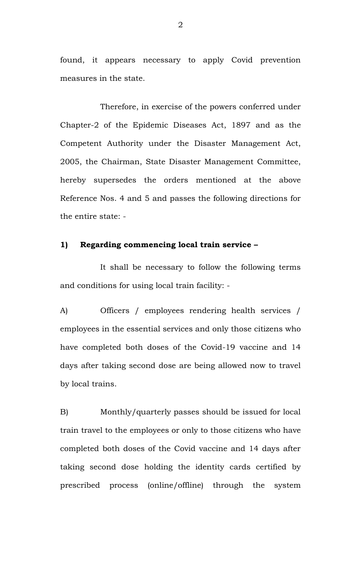found, it appears necessary to apply Covid prevention measures in the state.

Therefore, in exercise of the powers conferred under Chapter-2 of the Epidemic Diseases Act, 1897 and as the Competent Authority under the Disaster Management Act, 2005, the Chairman, State Disaster Management Committee, hereby supersedes the orders mentioned at the above Reference Nos. 4 and 5 and passes the following directions for the entire state: -

# **1) Regarding commencing local train service –**

It shall be necessary to follow the following terms and conditions for using local train facility: -

A) Officers / employees rendering health services / employees in the essential services and only those citizens who have completed both doses of the Covid-19 vaccine and 14 days after taking second dose are being allowed now to travel by local trains.

B) Monthly/quarterly passes should be issued for local train travel to the employees or only to those citizens who have completed both doses of the Covid vaccine and 14 days after taking second dose holding the identity cards certified by prescribed process (online/offline) through the system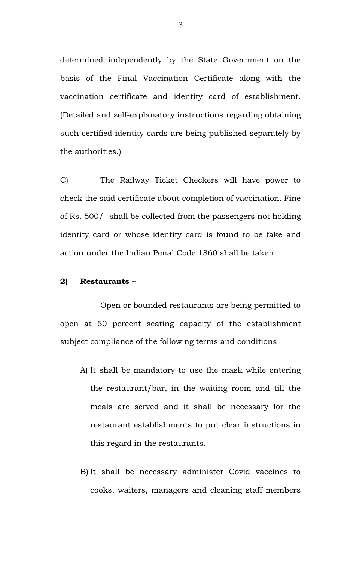determined independently by the State Government on the basis of the Final Vaccination Certificate along with the vaccination certificate and identity card of establishment. (Detailed and self-explanatory instructions regarding obtaining such certified identity cards are being published separately by the authorities.)

C) The Railway Ticket Checkers will have power to check the said certificate about completion of vaccination. Fine of Rs. 500/- shall be collected from the passengers not holding identity card or whose identity card is found to be fake and action under the Indian Penal Code 1860 shall be taken.

# **2) Restaurants –**

Open or bounded restaurants are being permitted to open at 50 percent seating capacity of the establishment subject compliance of the following terms and conditions

- A) It shall be mandatory to use the mask while entering the restaurant/bar, in the waiting room and till the meals are served and it shall be necessary for the restaurant establishments to put clear instructions in this regard in the restaurants.
- B) It shall be necessary administer Covid vaccines to cooks, waiters, managers and cleaning staff members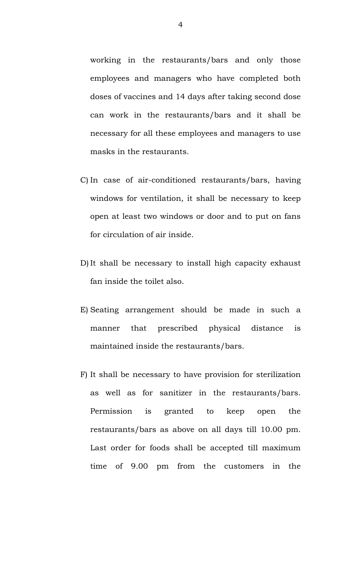working in the restaurants/bars and only those employees and managers who have completed both doses of vaccines and 14 days after taking second dose can work in the restaurants/bars and it shall be necessary for all these employees and managers to use masks in the restaurants.

- C) In case of air-conditioned restaurants/bars, having windows for ventilation, it shall be necessary to keep open at least two windows or door and to put on fans for circulation of air inside.
- D) It shall be necessary to install high capacity exhaust fan inside the toilet also.
- E) Seating arrangement should be made in such a manner that prescribed physical distance is maintained inside the restaurants/bars.
- F) It shall be necessary to have provision for sterilization as well as for sanitizer in the restaurants/bars. Permission is granted to keep open the restaurants/bars as above on all days till 10.00 pm. Last order for foods shall be accepted till maximum time of 9.00 pm from the customers in the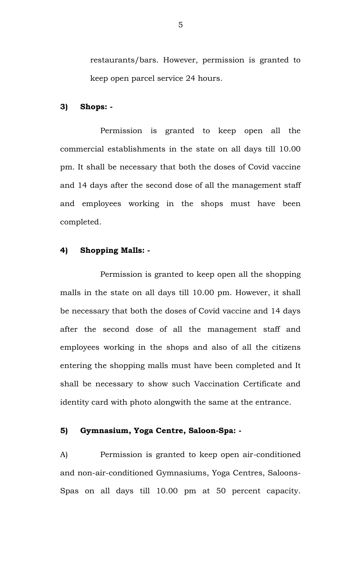restaurants/bars. However, permission is granted to keep open parcel service 24 hours.

#### **3) Shops: -**

Permission is granted to keep open all the commercial establishments in the state on all days till 10.00 pm. It shall be necessary that both the doses of Covid vaccine and 14 days after the second dose of all the management staff and employees working in the shops must have been completed.

# **4) Shopping Malls: -**

Permission is granted to keep open all the shopping malls in the state on all days till 10.00 pm. However, it shall be necessary that both the doses of Covid vaccine and 14 days after the second dose of all the management staff and employees working in the shops and also of all the citizens entering the shopping malls must have been completed and It shall be necessary to show such Vaccination Certificate and identity card with photo alongwith the same at the entrance.

# **5) Gymnasium, Yoga Centre, Saloon-Spa: -**

A) Permission is granted to keep open air-conditioned and non-air-conditioned Gymnasiums, Yoga Centres, Saloons-Spas on all days till 10.00 pm at 50 percent capacity.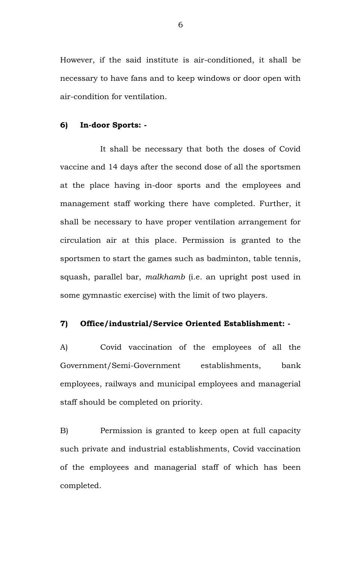However, if the said institute is air-conditioned, it shall be necessary to have fans and to keep windows or door open with air-condition for ventilation.

# **6) In-door Sports: -**

It shall be necessary that both the doses of Covid vaccine and 14 days after the second dose of all the sportsmen at the place having in-door sports and the employees and management staff working there have completed. Further, it shall be necessary to have proper ventilation arrangement for circulation air at this place. Permission is granted to the sportsmen to start the games such as badminton, table tennis, squash, parallel bar, *malkhamb* (i.e. an upright post used in some gymnastic exercise) with the limit of two players.

# **7) Office/industrial/Service Oriented Establishment: -**

A) Covid vaccination of the employees of all the Government/Semi-Government establishments, bank employees, railways and municipal employees and managerial staff should be completed on priority.

B) Permission is granted to keep open at full capacity such private and industrial establishments, Covid vaccination of the employees and managerial staff of which has been completed.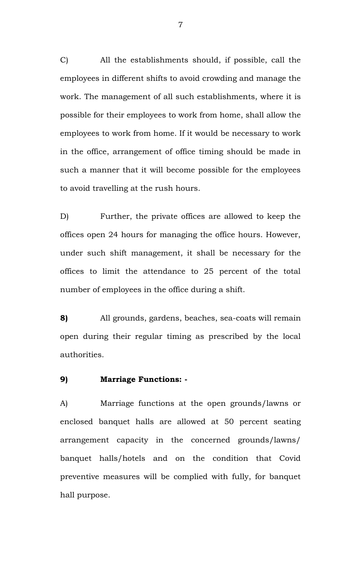C) All the establishments should, if possible, call the employees in different shifts to avoid crowding and manage the work. The management of all such establishments, where it is possible for their employees to work from home, shall allow the employees to work from home. If it would be necessary to work in the office, arrangement of office timing should be made in such a manner that it will become possible for the employees to avoid travelling at the rush hours.

D) Further, the private offices are allowed to keep the offices open 24 hours for managing the office hours. However, under such shift management, it shall be necessary for the offices to limit the attendance to 25 percent of the total number of employees in the office during a shift.

**8)** All grounds, gardens, beaches, sea-coats will remain open during their regular timing as prescribed by the local authorities.

# **9) Marriage Functions: -**

A) Marriage functions at the open grounds/lawns or enclosed banquet halls are allowed at 50 percent seating arrangement capacity in the concerned grounds/lawns/ banquet halls/hotels and on the condition that Covid preventive measures will be complied with fully, for banquet hall purpose.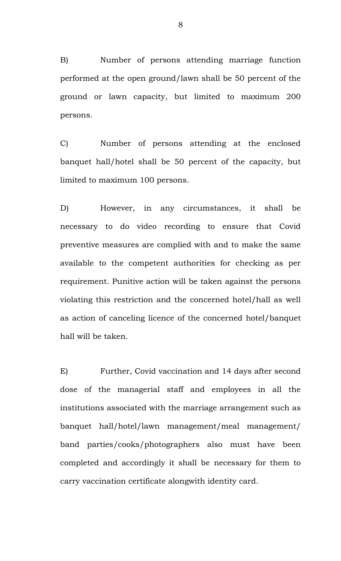B) Number of persons attending marriage function performed at the open ground/lawn shall be 50 percent of the ground or lawn capacity, but limited to maximum 200 persons.

C) Number of persons attending at the enclosed banquet hall/hotel shall be 50 percent of the capacity, but limited to maximum 100 persons.

D) However, in any circumstances, it shall be necessary to do video recording to ensure that Covid preventive measures are complied with and to make the same available to the competent authorities for checking as per requirement. Punitive action will be taken against the persons violating this restriction and the concerned hotel/hall as well as action of canceling licence of the concerned hotel/banquet hall will be taken.

E) Further, Covid vaccination and 14 days after second dose of the managerial staff and employees in all the institutions associated with the marriage arrangement such as banquet hall/hotel/lawn management/meal management/ band parties/cooks/photographers also must have been completed and accordingly it shall be necessary for them to carry vaccination certificate alongwith identity card.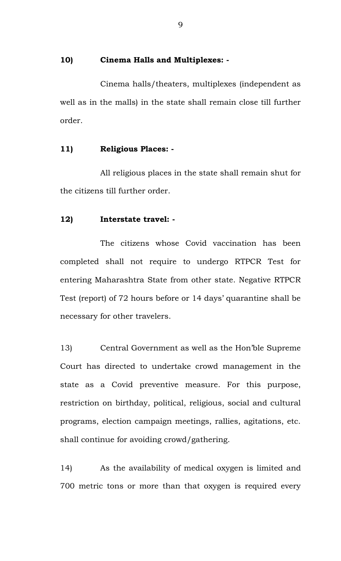#### **10) Cinema Halls and Multiplexes: -**

Cinema halls/theaters, multiplexes (independent as well as in the malls) in the state shall remain close till further order.

# **11) Religious Places: -**

All religious places in the state shall remain shut for the citizens till further order.

# **12) Interstate travel: -**

The citizens whose Covid vaccination has been completed shall not require to undergo RTPCR Test for entering Maharashtra State from other state. Negative RTPCR Test (report) of 72 hours before or 14 days' quarantine shall be necessary for other travelers.

13) Central Government as well as the Hon'ble Supreme Court has directed to undertake crowd management in the state as a Covid preventive measure. For this purpose, restriction on birthday, political, religious, social and cultural programs, election campaign meetings, rallies, agitations, etc. shall continue for avoiding crowd/gathering.

14) As the availability of medical oxygen is limited and 700 metric tons or more than that oxygen is required every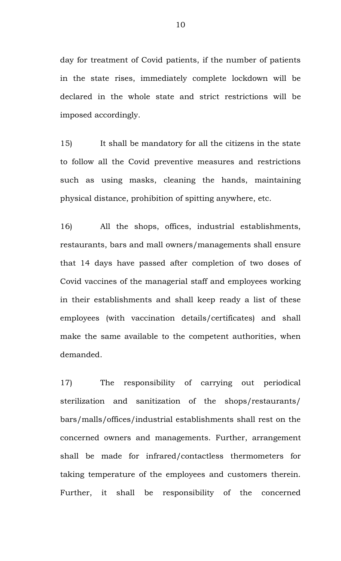day for treatment of Covid patients, if the number of patients in the state rises, immediately complete lockdown will be declared in the whole state and strict restrictions will be imposed accordingly.

15) It shall be mandatory for all the citizens in the state to follow all the Covid preventive measures and restrictions such as using masks, cleaning the hands, maintaining physical distance, prohibition of spitting anywhere, etc.

16) All the shops, offices, industrial establishments, restaurants, bars and mall owners/managements shall ensure that 14 days have passed after completion of two doses of Covid vaccines of the managerial staff and employees working in their establishments and shall keep ready a list of these employees (with vaccination details/certificates) and shall make the same available to the competent authorities, when demanded.

17) The responsibility of carrying out periodical sterilization and sanitization of the shops/restaurants/ bars/malls/offices/industrial establishments shall rest on the concerned owners and managements. Further, arrangement shall be made for infrared/contactless thermometers for taking temperature of the employees and customers therein. Further, it shall be responsibility of the concerned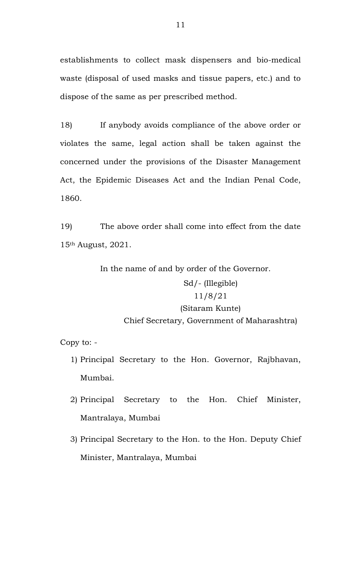establishments to collect mask dispensers and bio-medical waste (disposal of used masks and tissue papers, etc.) and to dispose of the same as per prescribed method.

18) If anybody avoids compliance of the above order or violates the same, legal action shall be taken against the concerned under the provisions of the Disaster Management Act, the Epidemic Diseases Act and the Indian Penal Code, 1860.

19) The above order shall come into effect from the date 15th August, 2021.

In the name of and by order of the Governor.

# Sd/- (Illegible) 11/8/21 (Sitaram Kunte) Chief Secretary, Government of Maharashtra)

Copy to: -

- 1) Principal Secretary to the Hon. Governor, Rajbhavan, Mumbai.
- 2) Principal Secretary to the Hon. Chief Minister, Mantralaya, Mumbai
- 3) Principal Secretary to the Hon. to the Hon. Deputy Chief Minister, Mantralaya, Mumbai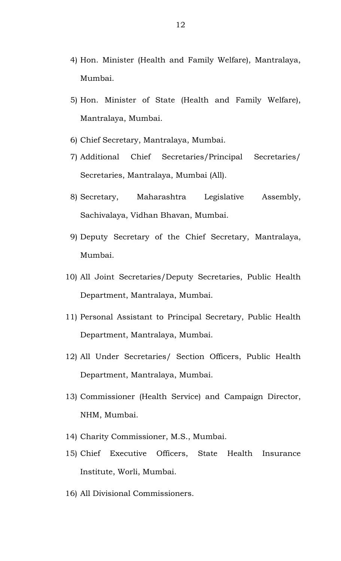- 4) Hon. Minister (Health and Family Welfare), Mantralaya, Mumbai.
- 5) Hon. Minister of State (Health and Family Welfare), Mantralaya, Mumbai.
- 6) Chief Secretary, Mantralaya, Mumbai.
- 7) Additional Chief Secretaries/Principal Secretaries/ Secretaries, Mantralaya, Mumbai (All).
- 8) Secretary, Maharashtra Legislative Assembly, Sachivalaya, Vidhan Bhavan, Mumbai.
- 9) Deputy Secretary of the Chief Secretary, Mantralaya, Mumbai.
- 10) All Joint Secretaries/Deputy Secretaries, Public Health Department, Mantralaya, Mumbai.
- 11) Personal Assistant to Principal Secretary, Public Health Department, Mantralaya, Mumbai.
- 12) All Under Secretaries/ Section Officers, Public Health Department, Mantralaya, Mumbai.
- 13) Commissioner (Health Service) and Campaign Director, NHM, Mumbai.
- 14) Charity Commissioner, M.S., Mumbai.
- 15) Chief Executive Officers, State Health Insurance Institute, Worli, Mumbai.
- 16) All Divisional Commissioners.